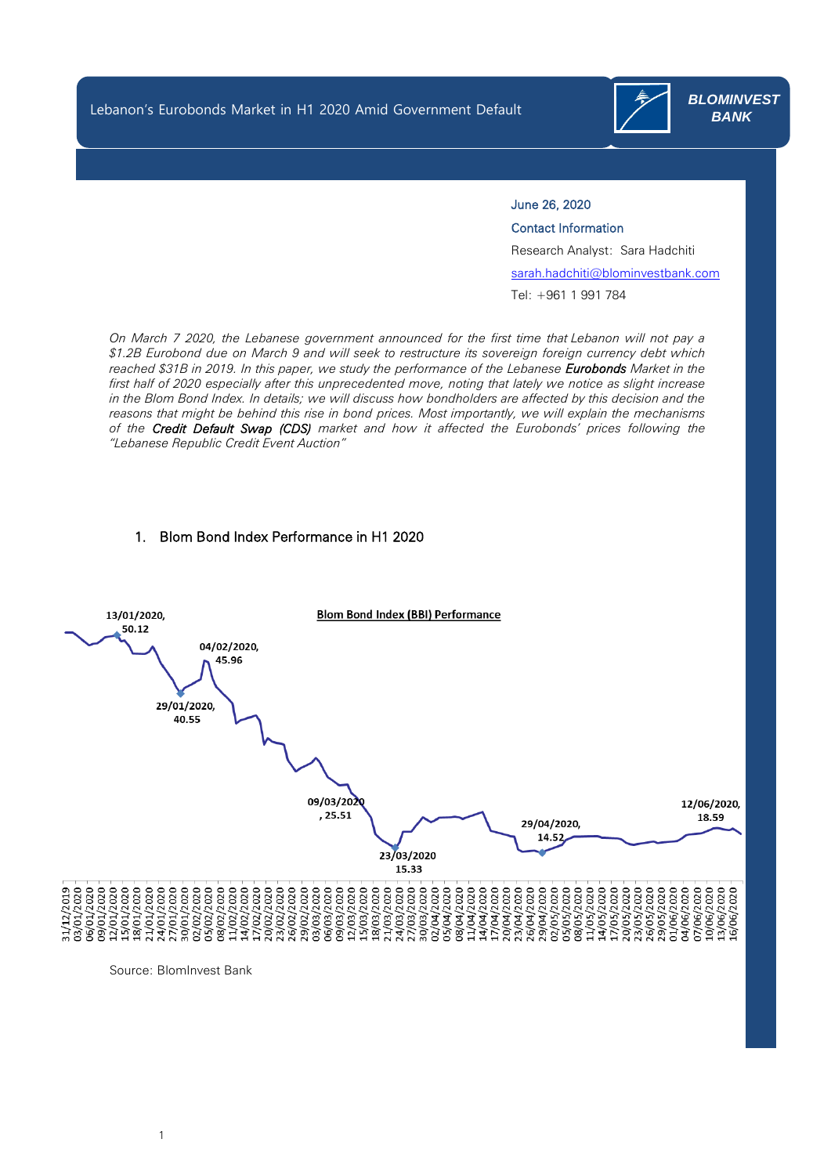Lebanon's Eurobonds Market in H1 2020 Amid Government Default

 $\overline{a}$ 

 $\overline{a}$ 



 *BLOMINVEST BANK*

## June 26, 2020

Contact Information

Research Analyst: Sara Hadchiti

[sarah.hadchiti@blominvestbank.com](mailto:sarah.hadchiti@blominvestbank.com)

Tel: +961 1 991 784

*On March 7 2020, the Lebanese government announced for the first time that Lebanon will not pay a \$1.2B Eurobond due on March 9 and will seek to restructure its sovereign foreign currency debt which reached \$31B in 2019. In this paper, we study the performance of the Lebanese Eurobonds Market in the first half of 2020 especially after this unprecedented move, noting that lately we notice as slight increase in the Blom Bond Index. In details; we will discuss how bondholders are affected by this decision and the reasons that might be behind this rise in bond prices. Most importantly, we will explain the mechanisms of the Credit Default Swap (CDS) market and how it affected the Eurobonds' prices following the "Lebanese Republic Credit Event Auction"*

#### 1. Blom Bond Index Performance in H1 2020



Source: BlomInvest Bank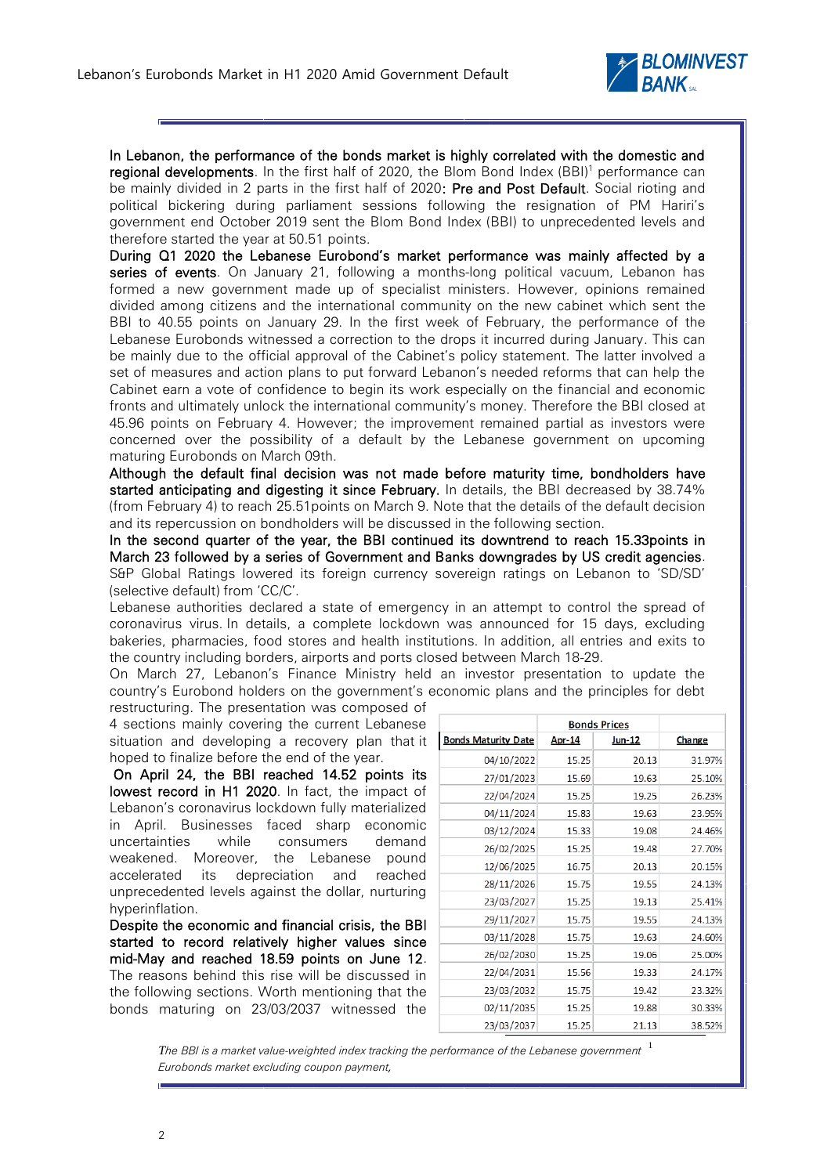

In Lebanon, the performance of the bonds market is highly correlated with the domestic and **regional developments**. In the first half of 2020, the Blom Bond Index (BBI)<sup>1</sup> performance can be mainly divided in 2 parts in the first half of 2020: Pre and Post Default. Social rioting and political bickering during parliament sessions following the resignation of PM Hariri's government end October 2019 sent the Blom Bond Index (BBI) to unprecedented levels and therefore started the year at 50.51 points.

During Q1 2020 the Lebanese Eurobond's market performance was mainly affected by a series of events. On January 21, following a months-long political vacuum, Lebanon has formed a new government made up of specialist ministers. However, opinions remained divided among citizens and the international community on the new cabinet which sent the BBI to 40.55 points on January 29. In the first week of February, the performance of the Lebanese Eurobonds witnessed a correction to the drops it incurred during January. This can be mainly due to the official approval of the Cabinet's policy statement. The latter involved a set of measures and action plans to put forward Lebanon's needed reforms that can help the Cabinet earn a vote of confidence to begin its work especially on the financial and economic fronts and ultimately unlock the international community's money. Therefore the BBI closed at 45.96 points on February 4. However; the improvement remained partial as investors were concerned over the possibility of a default by the Lebanese government on upcoming maturing Eurobonds on March 09th.

Although the default final decision was not made before maturity time, bondholders have started anticipating and digesting it since February. In details, the BBI decreased by 38.74% (from February 4) to reach 25.51points on March 9. Note that the details of the default decision and its repercussion on bondholders will be discussed in the following section.

In the second quarter of the year, the BBI continued its downtrend to reach 15.33points in March 23 followed by a series of Government and Banks downgrades by US credit agencies. S&P Global Ratings lowered its foreign currency sovereign ratings on Lebanon to 'SD/SD' (selective default) from 'CC/C'.

Lebanese authorities declared a state of emergency in an attempt to control the spread of coronavirus virus. In details, a complete lockdown was announced for 15 days, excluding bakeries, pharmacies, food stores and health institutions. In addition, all entries and exits to the country including borders, airports and ports closed between March 18-29.

On March 27, Lebanon's Finance Ministry held an investor presentation to update the country's Eurobond holders on the government's economic plans and the principles for debt

restructuring. The presentation was composed of 4 sections mainly covering the current Lebanese situation and developing a recovery plan that it hoped to finalize before the end of the year.

On April 24, the BBI reached 14.52 points its lowest record in H1 2020. In fact, the impact of Lebanon's coronavirus lockdown fully materialized in April. Businesses faced sharp economic uncertainties while consumers demand weakened. Moreover, the Lebanese pound accelerated its depreciation and reached unprecedented levels against the dollar, nurturing hyperinflation.

Despite the economic and financial crisis, the BBI started to record relatively higher values since mid-May and reached 18.59 points on June 12. The reasons behind this rise will be discussed in the following sections. Worth mentioning that the bonds maturing on 23/03/2037 witnessed the

|                            | <b>Bonds Prices</b> |        |        |
|----------------------------|---------------------|--------|--------|
| <b>Bonds Maturity Date</b> | Apr-14              | Jun-12 | Change |
| 04/10/2022                 | 15.25               | 20.13  | 31.97% |
| 27/01/2023                 | 15.69               | 19.63  | 25.10% |
| 22/04/2024                 | 15.25               | 19.25  | 26.23% |
| 04/11/2024                 | 15.83               | 19.63  | 23.95% |
| 03/12/2024                 | 15.33               | 19.08  | 24.46% |
| 26/02/2025                 | 15.25               | 19.48  | 27.70% |
| 12/06/2025                 | 16.75               | 20.13  | 20.15% |
| 28/11/2026                 | 15.75               | 19.55  | 24.13% |
| 23/03/2027                 | 15.25               | 19.13  | 25.41% |
| 29/11/2027                 | 15.75               | 19.55  | 24.13% |
| 03/11/2028                 | 15.75               | 19.63  | 24.60% |
| 26/02/2030                 | 15.25               | 19.06  | 25.00% |
| 22/04/2031                 | 15.56               | 19.33  | 24.17% |
| 23/03/2032                 | 15.75               | 19.42  | 23.32% |
| 02/11/2035                 | 15.25               | 19.88  | 30.33% |
| 23/03/2037                 | 15.25               | 21.13  | 38.52% |

The BBI is a market value-weighted index tracking the performance of the Lebanese government  $\,$   $^1$ *Eurobonds market excluding coupon payment,*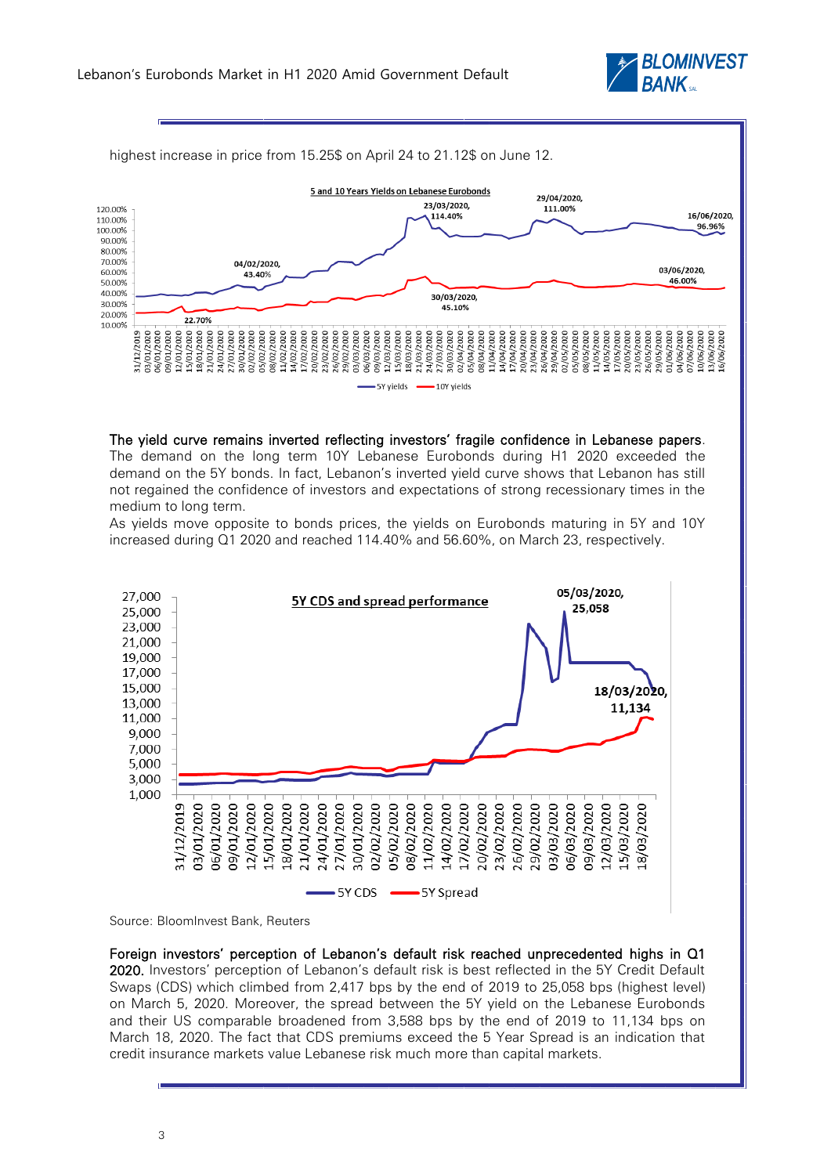



The yield curve remains inverted reflecting investors' fragile confidence in Lebanese papers.

The demand on the long term 10Y Lebanese Eurobonds during H1 2020 exceeded the demand on the 5Y bonds. In fact, Lebanon's inverted yield curve shows that Lebanon has still not regained the confidence of investors and expectations of strong recessionary times in the medium to long term.

As yields move opposite to bonds prices, the yields on Eurobonds maturing in 5Y and 10Y increased during Q1 2020 and reached 114.40% and 56.60%, on March 23, respectively.



Source: BloomInvest Bank, Reuters

Foreign investors' perception of Lebanon's default risk reached unprecedented highs in Q1 2020. Investors' perception of Lebanon's default risk is best reflected in the 5Y Credit Default Swaps (CDS) which climbed from 2,417 bps by the end of 2019 to 25,058 bps (highest level) on March 5, 2020. Moreover, the spread between the 5Y yield on the Lebanese Eurobonds and their US comparable broadened from 3,588 bps by the end of 2019 to 11,134 bps on March 18, 2020. The fact that CDS premiums exceed the 5 Year Spread is an indication that credit insurance markets value Lebanese risk much more than capital markets.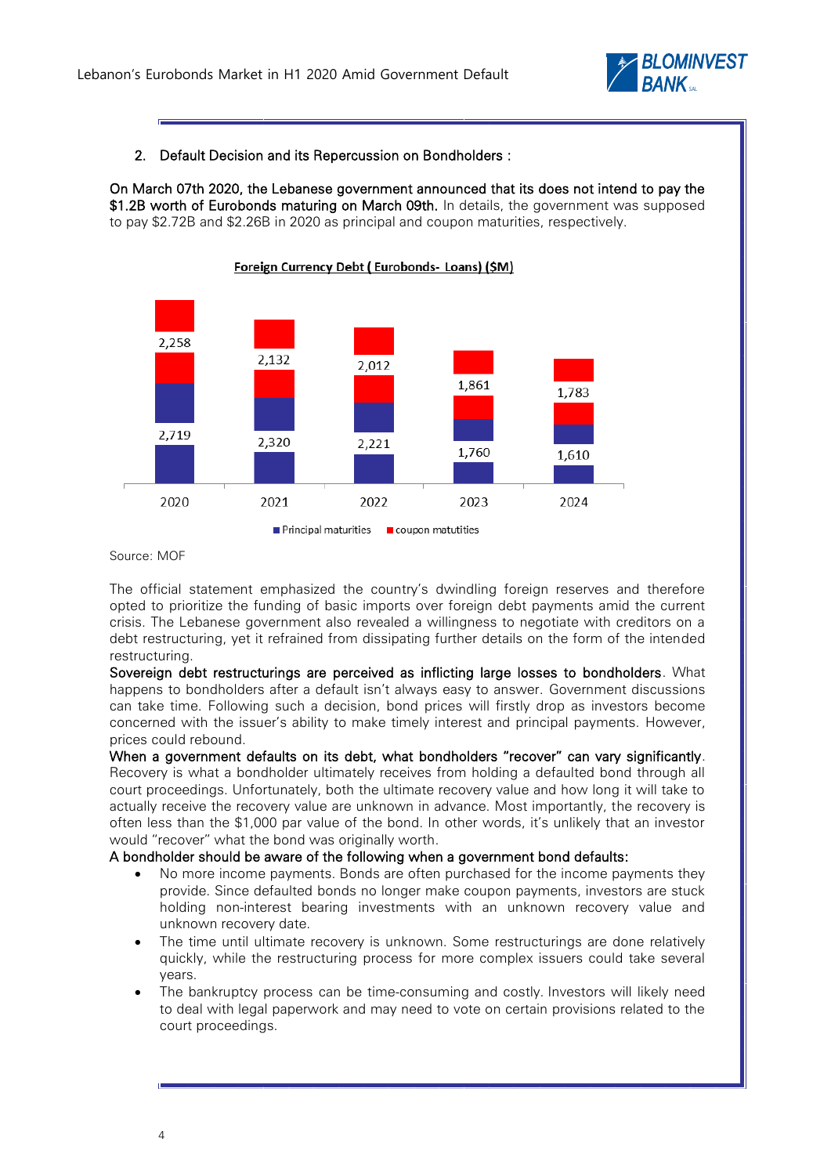

### 2. Default Decision and its Repercussion on Bondholders :

On March 07th 2020, the Lebanese government announced that its does not intend to pay the \$1.2B worth of Eurobonds maturing on March 09th. In details, the government was supposed to pay \$2.72B and \$2.26B in 2020 as principal and coupon maturities, respectively.



Source: MOF

The official statement emphasized the country's dwindling foreign reserves and therefore opted to prioritize the funding of basic imports over foreign debt payments amid the current crisis. The Lebanese government also revealed a willingness to negotiate with creditors on a debt restructuring, yet it refrained from dissipating further details on the form of the intended restructuring.

Sovereign debt restructurings are perceived as inflicting large losses to bondholders. What happens to bondholders after a default isn't always easy to answer. Government discussions can take time. Following such a decision, bond prices will firstly drop as investors become concerned with the issuer's ability to make timely interest and principal payments. However, prices could rebound.

When a government defaults on its debt, what bondholders "recover" can vary significantly. Recovery is what a bondholder ultimately receives from holding a defaulted bond through all court proceedings. Unfortunately, both the ultimate recovery value and how long it will take to actually receive the recovery value are unknown in advance. Most importantly, the recovery is often less than the \$1,000 par value of the bond. In other words, it's unlikely that an investor would "recover" what the bond was originally worth.

#### A bondholder should be aware of the following when a government bond defaults:

- No more income payments. Bonds are often purchased for the income payments they provide. Since defaulted bonds no longer make coupon payments, investors are stuck holding non-interest bearing investments with an unknown recovery value and unknown recovery date.
- The time until ultimate recovery is unknown. Some restructurings are done relatively quickly, while the restructuring process for more complex issuers could take several years.
- The bankruptcy process can be time-consuming and costly. Investors will likely need to deal with legal paperwork and may need to vote on certain provisions related to the court proceedings.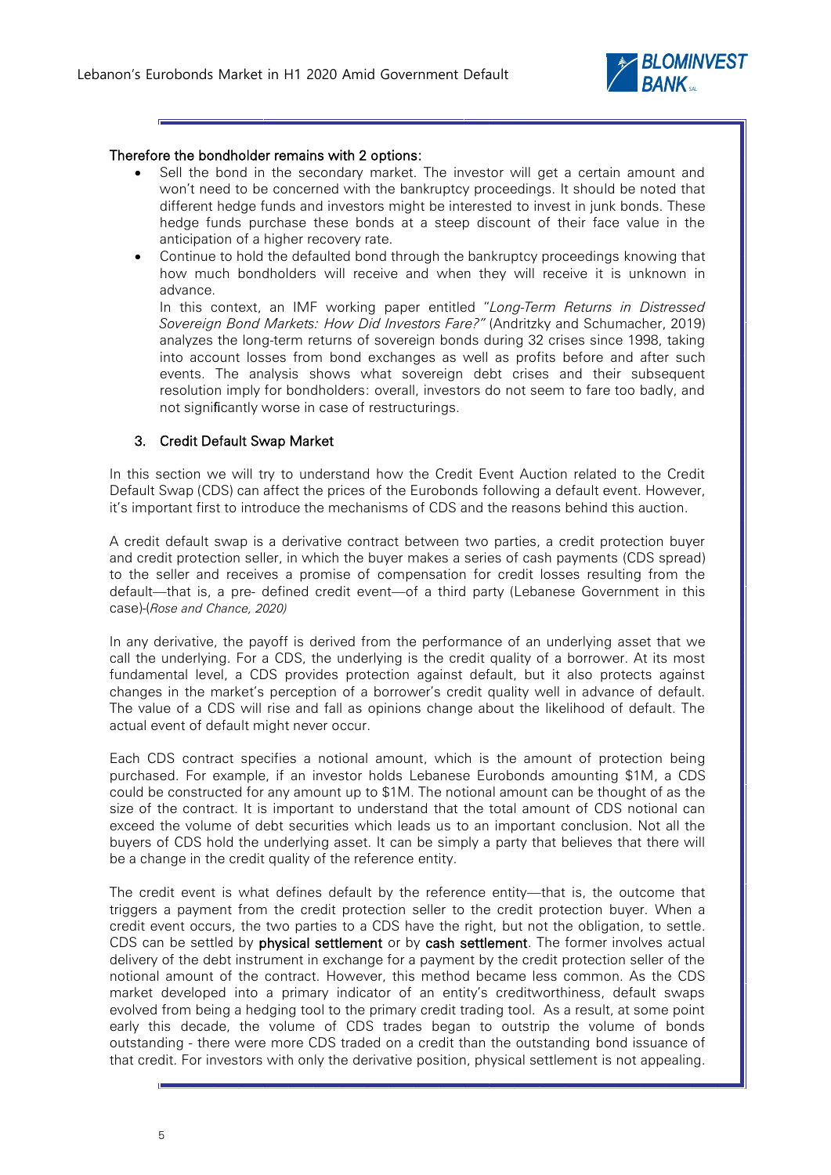

#### Therefore the bondholder remains with 2 options:

- Sell the bond in the secondary market. The investor will get a certain amount and won't need to be concerned with the bankruptcy proceedings. It should be noted that different hedge funds and investors might be interested to invest in junk bonds. These hedge funds purchase these bonds at a steep discount of their face value in the anticipation of a higher recovery rate.
- Continue to hold the defaulted bond through the bankruptcy proceedings knowing that how much bondholders will receive and when they will receive it is unknown in advance.

In this context, an IMF working paper entitled "*Long-Term Returns in Distressed Sovereign Bond Markets: How Did Investors Fare?"* (Andritzky and Schumacher, 2019) analyzes the long-term returns of sovereign bonds during 32 crises since 1998, taking into account losses from bond exchanges as well as profits before and after such events. The analysis shows what sovereign debt crises and their subsequent resolution imply for bondholders: overall, investors do not seem to fare too badly, and not significantly worse in case of restructurings.

#### 3. Credit Default Swap Market

In this section we will try to understand how the Credit Event Auction related to the Credit Default Swap (CDS) can affect the prices of the Eurobonds following a default event. However, it's important first to introduce the mechanisms of CDS and the reasons behind this auction.

A credit default swap is a derivative contract between two parties, a credit protection buyer and credit protection seller, in which the buyer makes a series of cash payments (CDS spread) to the seller and receives a promise of compensation for credit losses resulting from the default—that is, a pre- defined credit event—of a third party (Lebanese Government in this case)-(*Rose and Chance, 2020)*

In any derivative, the payoff is derived from the performance of an underlying asset that we call the underlying. For a CDS, the underlying is the credit quality of a borrower. At its most fundamental level, a CDS provides protection against default, but it also protects against changes in the market's perception of a borrower's credit quality well in advance of default. The value of a CDS will rise and fall as opinions change about the likelihood of default. The actual event of default might never occur.

Each CDS contract specifies a notional amount, which is the amount of protection being purchased. For example, if an investor holds Lebanese Eurobonds amounting \$1M, a CDS could be constructed for any amount up to \$1M. The notional amount can be thought of as the size of the contract. It is important to understand that the total amount of CDS notional can exceed the volume of debt securities which leads us to an important conclusion. Not all the buyers of CDS hold the underlying asset. It can be simply a party that believes that there will be a change in the credit quality of the reference entity.

The credit event is what defines default by the reference entity—that is, the outcome that triggers a payment from the credit protection seller to the credit protection buyer. When a credit event occurs, the two parties to a CDS have the right, but not the obligation, to settle. CDS can be settled by **physical settlement** or by **cash settlement**. The former involves actual delivery of the debt instrument in exchange for a payment by the credit protection seller of the notional amount of the contract. However, this method became less common. As the CDS market developed into a primary indicator of an entity's creditworthiness, default swaps evolved from being a hedging tool to the primary credit trading tool. As a result, at some point early this decade, the volume of CDS trades began to outstrip the volume of bonds outstanding - there were more CDS traded on a credit than the outstanding bond issuance of that credit. For investors with only the derivative position, physical settlement is not appealing.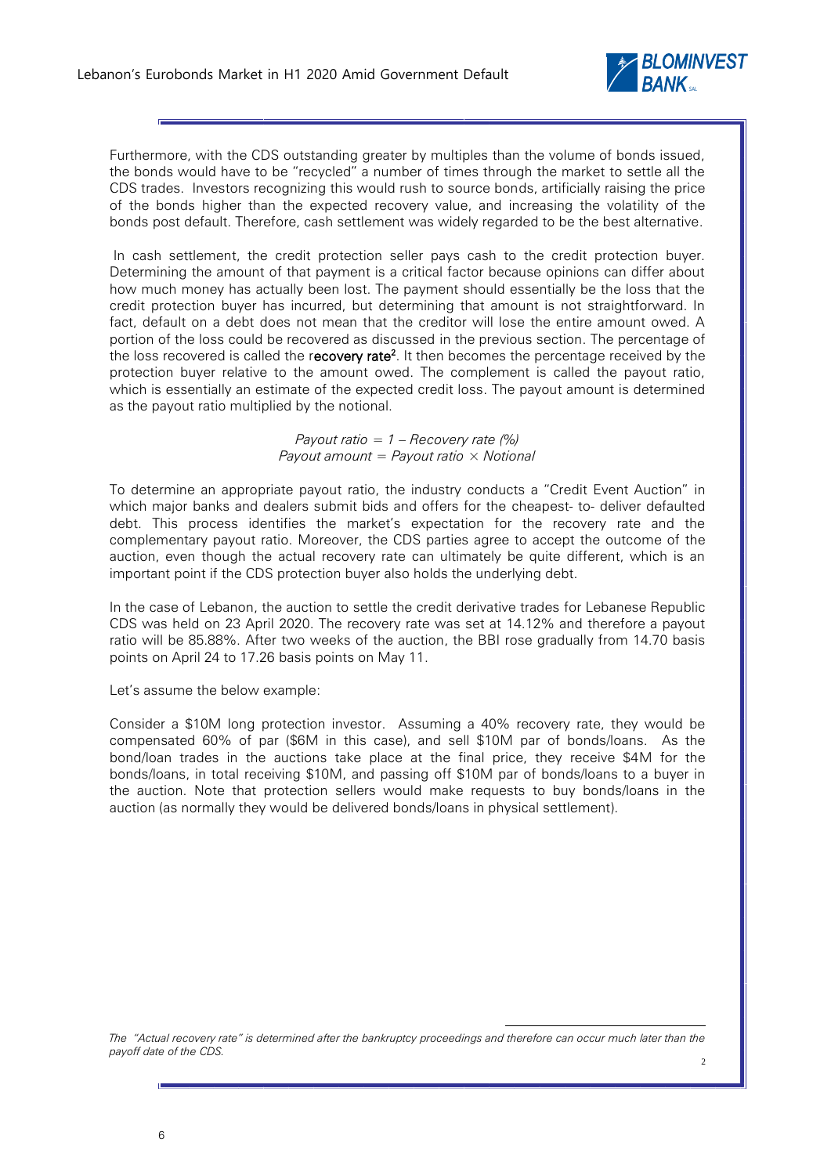

Furthermore, with the CDS outstanding greater by multiples than the volume of bonds issued, the bonds would have to be "recycled" a number of times through the market to settle all the CDS trades. Investors recognizing this would rush to source bonds, artificially raising the price of the bonds higher than the expected recovery value, and increasing the volatility of the bonds post default. Therefore, cash settlement was widely regarded to be the best alternative.

In cash settlement, the credit protection seller pays cash to the credit protection buyer. Determining the amount of that payment is a critical factor because opinions can differ about how much money has actually been lost. The payment should essentially be the loss that the credit protection buyer has incurred, but determining that amount is not straightforward. In fact, default on a debt does not mean that the creditor will lose the entire amount owed. A portion of the loss could be recovered as discussed in the previous section. The percentage of the loss recovered is called the r**ecovery rate<sup>2</sup>**. It then becomes the percentage received by the protection buyer relative to the amount owed. The complement is called the payout ratio, which is essentially an estimate of the expected credit loss. The payout amount is determined as the payout ratio multiplied by the notional.

> *Payout ratio = 1 – Recovery rate (%) Payout amount = Payout ratio × Notional*

To determine an appropriate payout ratio, the industry conducts a "Credit Event Auction" in which major banks and dealers submit bids and offers for the cheapest- to- deliver defaulted debt. This process identifies the market's expectation for the recovery rate and the complementary payout ratio. Moreover, the CDS parties agree to accept the outcome of the auction, even though the actual recovery rate can ultimately be quite different, which is an important point if the CDS protection buyer also holds the underlying debt.

In the case of Lebanon, the auction to settle the credit derivative trades for Lebanese Republic CDS was held on 23 April 2020. The recovery rate was set at 14.12% and therefore a payout ratio will be 85.88%. After two weeks of the auction, the BBI rose gradually from 14.70 basis points on April 24 to 17.26 basis points on May 11.

Let's assume the below example:

Consider a \$10M long protection investor. Assuming a 40% recovery rate, they would be compensated 60% of par (\$6M in this case), and sell \$10M par of bonds/loans. As the bond/loan trades in the auctions take place at the final price, they receive \$4M for the bonds/loans, in total receiving \$10M, and passing off \$10M par of bonds/loans to a buyer in the auction. Note that protection sellers would make requests to buy bonds/loans in the auction (as normally they would be delivered bonds/loans in physical settlement).

*The "Actual recovery rate" is determined after the bankruptcy proceedings and therefore can occur much later than the payoff date of the CDS.*  2

-